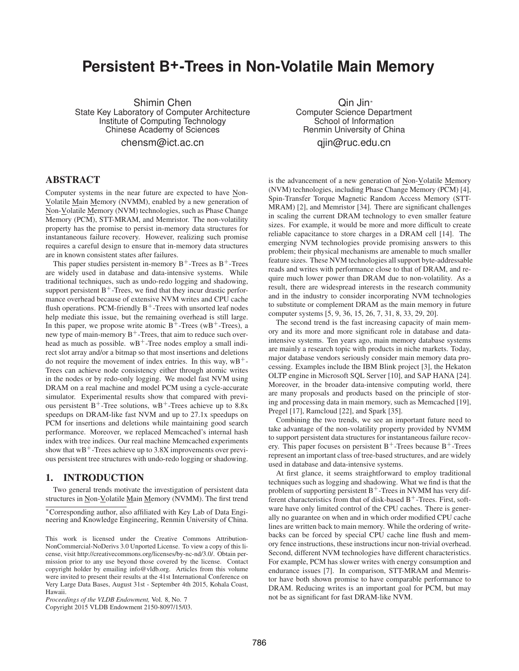# **Persistent B+-Trees in Non-Volatile Main Memory**

Shimin Chen State Key Laboratory of Computer Architecture Institute of Computing Technology Chinese Academy of Sciences

chensm@ict.ac.cn

Qin Jin<sup>∗</sup> Computer Science Department School of Information Renmin University of China qjin@ruc.edu.cn

### **ABSTRACT**

Computer systems in the near future are expected to have Non-Volatile Main Memory (NVMM), enabled by a new generation of Non-Volatile Memory (NVM) technologies, such as Phase Change Memory (PCM), STT-MRAM, and Memristor. The non-volatility property has the promise to persist in-memory data structures for instantaneous failure recovery. However, realizing such promise requires a careful design to ensure that in-memory data structures are in known consistent states after failures.

This paper studies persistent in-memory  $B^+$ -Trees as  $B^+$ -Trees are widely used in database and data-intensive systems. While traditional techniques, such as undo-redo logging and shadowing, support persistent  $B^+$ -Trees, we find that they incur drastic performance overhead because of extensive NVM writes and CPU cache flush operations. PCM-friendly  $B^+$ -Trees with unsorted leaf nodes help mediate this issue, but the remaining overhead is still large. In this paper, we propose write atomic  $B^+$ -Trees (wB<sup>+</sup>-Trees), a new type of main-memory  $B^+$ -Trees, that aim to reduce such overhead as much as possible.  $wB^+$ -Tree nodes employ a small indirect slot array and/or a bitmap so that most insertions and deletions do not require the movement of index entries. In this way,  $wB^+$ -Trees can achieve node consistency either through atomic writes in the nodes or by redo-only logging. We model fast NVM using DRAM on a real machine and model PCM using a cycle-accurate simulator. Experimental results show that compared with previous persistent  $B^+$ -Tree solutions, wB<sup>+</sup>-Trees achieve up to 8.8x speedups on DRAM-like fast NVM and up to 27.1x speedups on PCM for insertions and deletions while maintaining good search performance. Moreover, we replaced Memcached's internal hash index with tree indices. Our real machine Memcached experiments show that  $wB^+$ -Trees achieve up to 3.8X improvements over previous persistent tree structures with undo-redo logging or shadowing.

### **1. INTRODUCTION**

Two general trends motivate the investigation of persistent data structures in Non-Volatile Main Memory (NVMM). The first trend

<sup>∗</sup>Corresponding author, also affiliated with Key Lab of Data Engineering and Knowledge Engineering, Renmin University of China.

Copyright 2015 VLDB Endowment 2150-8097/15/03.

is the advancement of a new generation of Non-Volatile Memory (NVM) technologies, including Phase Change Memory (PCM) [4], Spin-Transfer Torque Magnetic Random Access Memory (STT-MRAM) [2], and Memristor [34]. There are significant challenges in scaling the current DRAM technology to even smaller feature sizes. For example, it would be more and more difficult to create reliable capacitance to store charges in a DRAM cell [14]. The emerging NVM technologies provide promising answers to this problem; their physical mechanisms are amenable to much smaller feature sizes. These NVM technologies all support byte-addressable reads and writes with performance close to that of DRAM, and require much lower power than DRAM due to non-volatility. As a result, there are widespread interests in the research community and in the industry to consider incorporating NVM technologies to substitute or complement DRAM as the main memory in future computer systems [5, 9, 36, 15, 26, 7, 31, 8, 33, 29, 20].

The second trend is the fast increasing capacity of main memory and its more and more significant role in database and dataintensive systems. Ten years ago, main memory database systems are mainly a research topic with products in niche markets. Today, major database vendors seriously consider main memory data processing. Examples include the IBM Blink project [3], the Hekaton OLTP engine in Microsoft SQL Server [10], and SAP HANA [24]. Moreover, in the broader data-intensive computing world, there are many proposals and products based on the principle of storing and processing data in main memory, such as Memcached [19], Pregel [17], Ramcloud [22], and Spark [35].

Combining the two trends, we see an important future need to take advantage of the non-volatility property provided by NVMM to support persistent data structures for instantaneous failure recovery. This paper focuses on persistent  $B^+$ -Trees because  $B^+$ -Trees represent an important class of tree-based structures, and are widely used in database and data-intensive systems.

At first glance, it seems straightforward to employ traditional techniques such as logging and shadowing. What we find is that the problem of supporting persistent  $B^+$ -Trees in NVMM has very different characteristics from that of disk-based  $B^+$ -Trees. First, software have only limited control of the CPU caches. There is generally no guarantee on when and in which order modified CPU cache lines are written back to main memory. While the ordering of writebacks can be forced by special CPU cache line flush and memory fence instructions, these instructions incur non-trivial overhead. Second, different NVM technologies have different characteristics. For example, PCM has slower writes with energy consumption and endurance issues [7]. In comparison, STT-MRAM and Memristor have both shown promise to have comparable performance to DRAM. Reducing writes is an important goal for PCM, but may not be as significant for fast DRAM-like NVM.

This work is licensed under the Creative Commons Attribution-NonCommercial-NoDerivs 3.0 Unported License. To view a copy of this license, visit http://creativecommons.org/licenses/by-nc-nd/3.0/. Obtain permission prior to any use beyond those covered by the license. Contact copyright holder by emailing info@vldb.org. Articles from this volume were invited to present their results at the 41st International Conference on Very Large Data Bases, August 31st - September 4th 2015, Kohala Coast, Hawaii.

*Proceedings of the VLDB Endowment,* Vol. 8, No. 7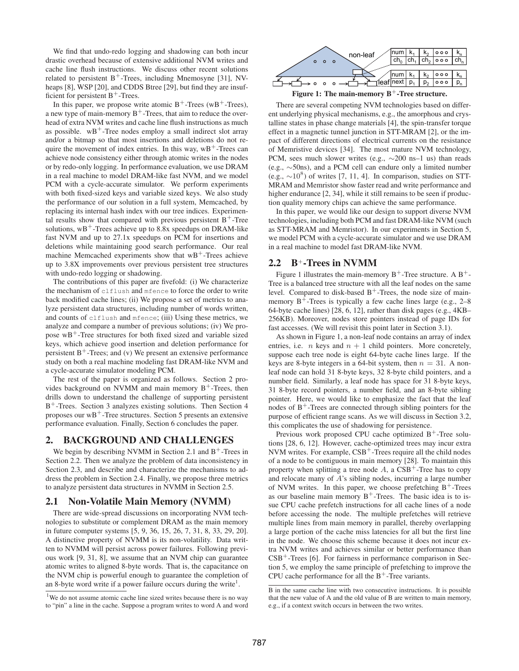We find that undo-redo logging and shadowing can both incur drastic overhead because of extensive additional NVM writes and cache line flush instructions. We discuss other recent solutions related to persistent  $B^+$ -Trees, including Mnemosyne [31], NVheaps [8], WSP [20], and CDDS Btree [29], but find they are insufficient for persistent  $B^+$ -Trees.

In this paper, we propose write atomic  $B^+$ -Trees (w $B^+$ -Trees), a new type of main-memory  $B^+$ -Trees, that aim to reduce the overhead of extra NVM writes and cache line flush instructions as much as possible.  $wB^+$ -Tree nodes employ a small indirect slot array and/or a bitmap so that most insertions and deletions do not require the movement of index entries. In this way,  $wB^+$ -Trees can achieve node consistency either through atomic writes in the nodes or by redo-only logging. In performance evaluation, we use DRAM in a real machine to model DRAM-like fast NVM, and we model PCM with a cycle-accurate simulator. We perform experiments with both fixed-sized keys and variable sized keys. We also study the performance of our solution in a full system, Memcached, by replacing its internal hash index with our tree indices. Experimental results show that compared with previous persistent  $B^+$ -Tree solutions,  $wB^+$ -Trees achieve up to 8.8x speedups on DRAM-like fast NVM and up to 27.1x speedups on PCM for insertions and deletions while maintaining good search performance. Our real machine Memcached experiments show that  $wB^+$ -Trees achieve up to 3.8X improvements over previous persistent tree structures with undo-redo logging or shadowing.

The contributions of this paper are fivefold: (i) We characterize the mechanism of clflush and mfence to force the order to write back modified cache lines; (ii) We propose a set of metrics to analyze persistent data structures, including number of words written, and counts of clflush and mfence; (iii) Using these metrics, we analyze and compare a number of previous solutions; (iv) We propose  $wB^+$ -Tree structures for both fixed sized and variable sized keys, which achieve good insertion and deletion performance for persistent  $B^+$ -Trees; and (v) We present an extensive performance study on both a real machine modeling fast DRAM-like NVM and a cycle-accurate simulator modeling PCM.

The rest of the paper is organized as follows. Section 2 provides background on NVMM and main memory  $B^+$ -Trees, then drills down to understand the challenge of supporting persistent B<sup>+</sup>-Trees. Section 3 analyzes existing solutions. Then Section 4 proposes our  $wB^+$ -Tree structures. Section 5 presents an extensive performance evaluation. Finally, Section 6 concludes the paper.

### **2. BACKGROUND AND CHALLENGES**

We begin by describing NVMM in Section 2.1 and  $B^+$ -Trees in Section 2.2. Then we analyze the problem of data inconsistency in Section 2.3, and describe and characterize the mechanisms to address the problem in Section 2.4. Finally, we propose three metrics to analyze persistent data structures in NVMM in Section 2.5.

#### **2.1 Non-Volatile Main Memory (NVMM)**

There are wide-spread discussions on incorporating NVM technologies to substitute or complement DRAM as the main memory in future computer systems [5, 9, 36, 15, 26, 7, 31, 8, 33, 29, 20]. A distinctive property of NVMM is its non-volatility. Data written to NVMM will persist across power failures. Following previous work [9, 31, 8], we assume that an NVM chip can guarantee atomic writes to aligned 8-byte words. That is, the capacitance on the NVM chip is powerful enough to guarantee the completion of an 8-byte word write if a power failure occurs during the write<sup>1</sup>.



Figure 1: The main-memory B<sup>+</sup>-Tree structure.

There are several competing NVM technologies based on different underlying physical mechanisms, e.g., the amorphous and crystalline states in phase change materials [4], the spin-transfer torque effect in a magnetic tunnel junction in STT-MRAM [2], or the impact of different directions of electrical currents on the resistance of Memristive devices [34]. The most mature NVM technology, PCM, sees much slower writes (e.g., ∼200 ns–1 us) than reads (e.g., ∼50ns), and a PCM cell can endure only a limited number (e.g.,  $\sim$ 10<sup>8</sup>) of writes [7, 11, 4]. In comparison, studies on STT-MRAM and Memristor show faster read and write performance and higher endurance [2, 34], while it still remains to be seen if production quality memory chips can achieve the same performance.

In this paper, we would like our design to support diverse NVM technologies, including both PCM and fast DRAM-like NVM (such as STT-MRAM and Memristor). In our experiments in Section 5, we model PCM with a cycle-accurate simulator and we use DRAM in a real machine to model fast DRAM-like NVM.

#### **2.2 B**+**-Trees in NVMM**

Figure 1 illustrates the main-memory  $B^+$ -Tree structure. A  $B^+$ -Tree is a balanced tree structure with all the leaf nodes on the same level. Compared to disk-based  $B^+$ -Trees, the node size of mainmemory  $B^+$ -Trees is typically a few cache lines large (e.g., 2–8) 64-byte cache lines) [28, 6, 12], rather than disk pages (e.g., 4KB– 256KB). Moreover, nodes store pointers instead of page IDs for fast accesses. (We will revisit this point later in Section 3.1).

As shown in Figure 1, a non-leaf node contains an array of index entries, i.e. *n* keys and  $n + 1$  child pointers. More concretely, suppose each tree node is eight 64-byte cache lines large. If the keys are 8-byte integers in a 64-bit system, then  $n = 31$ . A nonleaf node can hold 31 8-byte keys, 32 8-byte child pointers, and a number field. Similarly, a leaf node has space for 31 8-byte keys, 31 8-byte record pointers, a number field, and an 8-byte sibling pointer. Here, we would like to emphasize the fact that the leaf nodes of  $B^+$ -Trees are connected through sibling pointers for the purpose of efficient range scans. As we will discuss in Section 3.2, this complicates the use of shadowing for persistence.

Previous work proposed CPU cache optimized  $B^+$ -Tree solutions [28, 6, 12]. However, cache-optimized trees may incur extra NVM writes. For example,  $CSB^+$ -Trees require all the child nodes of a node to be contiguous in main memory [28]. To maintain this property when splitting a tree node  $A$ , a  $CSB^+$ -Tree has to copy and relocate many of A's sibling nodes, incurring a large number of NVM writes. In this paper, we choose prefetching  $B^+$ -Trees as our baseline main memory  $B^+$ -Trees. The basic idea is to issue CPU cache prefetch instructions for all cache lines of a node before accessing the node. The multiple prefetches will retrieve multiple lines from main memory in parallel, thereby overlapping a large portion of the cache miss latencies for all but the first line in the node. We choose this scheme because it does not incur extra NVM writes and achieves similar or better performance than  $CSB<sup>+</sup>$ -Trees [6]. For fairness in performance comparison in Section 5, we employ the same principle of prefetching to improve the CPU cache performance for all the  $B^+$ -Tree variants.

 $1$ We do not assume atomic cache line sized writes because there is no way to "pin" a line in the cache. Suppose a program writes to word A and word

B in the same cache line with two consecutive instructions. It is possible that the new value of A and the old value of B are written to main memory, e.g., if a context switch occurs in between the two writes.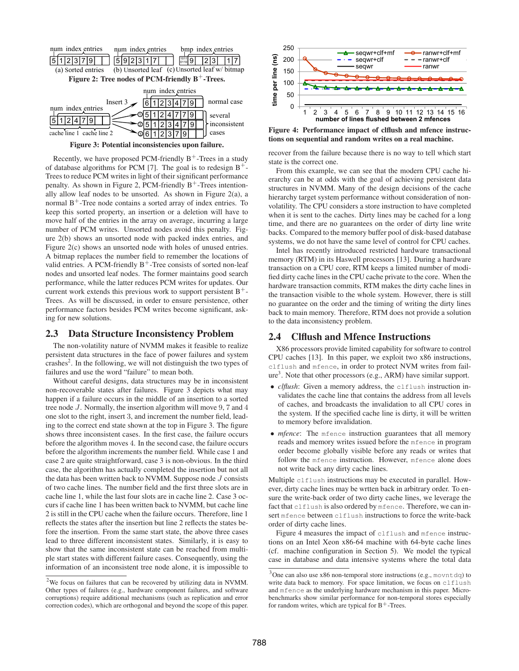

**Figure 3: Potential inconsistencies upon failure.**

Recently, we have proposed PCM-friendly  $B^+$ -Trees in a study of database algorithms for PCM [7]. The goal is to redesign  $B^+$ -Trees to reduce PCM writes in light of their significant performance penalty. As shown in Figure 2, PCM-friendly  $B^+$ -Trees intentionally allow leaf nodes to be unsorted. As shown in Figure 2(a), a normal  $B^+$ -Tree node contains a sorted array of index entries. To keep this sorted property, an insertion or a deletion will have to move half of the entries in the array on average, incurring a large number of PCM writes. Unsorted nodes avoid this penalty. Figure 2(b) shows an unsorted node with packed index entries, and Figure 2(c) shows an unsorted node with holes of unused entries. A bitmap replaces the number field to remember the locations of valid entries. A PCM-friendly  $B^+$ -Tree consists of sorted non-leaf nodes and unsorted leaf nodes. The former maintains good search performance, while the latter reduces PCM writes for updates. Our current work extends this previous work to support persistent  $B^+$ -Trees. As will be discussed, in order to ensure persistence, other performance factors besides PCM writes become significant, asking for new solutions.

#### **2.3 Data Structure Inconsistency Problem**

The non-volatility nature of NVMM makes it feasible to realize persistent data structures in the face of power failures and system crashes<sup>2</sup>. In the following, we will not distinguish the two types of failures and use the word "failure" to mean both.

Without careful designs, data structures may be in inconsistent non-recoverable states after failures. Figure 3 depicts what may happen if a failure occurs in the middle of an insertion to a sorted tree node J. Normally, the insertion algorithm will move 9, 7 and 4 one slot to the right, insert 3, and increment the number field, leading to the correct end state shown at the top in Figure 3. The figure shows three inconsistent cases. In the first case, the failure occurs before the algorithm moves 4. In the second case, the failure occurs before the algorithm increments the number field. While case 1 and case 2 are quite straightforward, case 3 is non-obvious. In the third case, the algorithm has actually completed the insertion but not all the data has been written back to NVMM. Suppose node  $J$  consists of two cache lines. The number field and the first three slots are in cache line 1, while the last four slots are in cache line 2. Case 3 occurs if cache line 1 has been written back to NVMM, but cache line 2 is still in the CPU cache when the failure occurs. Therefore, line 1 reflects the states after the insertion but line 2 reflects the states before the insertion. From the same start state, the above three cases lead to three different inconsistent states. Similarly, it is easy to show that the same inconsistent state can be reached from multiple start states with different failure cases. Consequently, using the information of an inconsistent tree node alone, it is impossible to



**Figure 4: Performance impact of clflush and mfence instructions on sequential and random writes on a real machine.**

recover from the failure because there is no way to tell which start state is the correct one.

From this example, we can see that the modern CPU cache hierarchy can be at odds with the goal of achieving persistent data structures in NVMM. Many of the design decisions of the cache hierarchy target system performance without consideration of nonvolatility. The CPU considers a store instruction to have completed when it is sent to the caches. Dirty lines may be cached for a long time, and there are no guarantees on the order of dirty line write backs. Compared to the memory buffer pool of disk-based database systems, we do not have the same level of control for CPU caches.

Intel has recently introduced restricted hardware transactional memory (RTM) in its Haswell processors [13]. During a hardware transaction on a CPU core, RTM keeps a limited number of modified dirty cache lines in the CPU cache private to the core. When the hardware transaction commits, RTM makes the dirty cache lines in the transaction visible to the whole system. However, there is still no guarantee on the order and the timing of writing the dirty lines back to main memory. Therefore, RTM does not provide a solution to the data inconsistency problem.

### **2.4 Clflush and Mfence Instructions**

X86 processors provide limited capability for software to control CPU caches [13]. In this paper, we exploit two x86 instructions, clflush and mfence, in order to protect NVM writes from failure<sup>3</sup>. Note that other processors (e.g., ARM) have similar support.

- *clflush*: Given a memory address, the clflush instruction invalidates the cache line that contains the address from all levels of caches, and broadcasts the invalidation to all CPU cores in the system. If the specified cache line is dirty, it will be written to memory before invalidation.
- *mfence*: The mfence instruction guarantees that all memory reads and memory writes issued before the mfence in program order become globally visible before any reads or writes that follow the mfence instruction. However, mfence alone does not write back any dirty cache lines.

Multiple clflush instructions may be executed in parallel. However, dirty cache lines may be wrtten back in arbitrary order. To ensure the write-back order of two dirty cache lines, we leverage the fact that clflush is also ordered by mfence. Therefore, we can insert mfence between clflush instructions to force the write-back order of dirty cache lines.

Figure 4 measures the impact of clflush and mfence instructions on an Intel Xeon x86-64 machine with 64-byte cache lines (cf. machine configuration in Section 5). We model the typical case in database and data intensive systems where the total data

 $2$ We focus on failures that can be recovered by utilizing data in NVMM. Other types of failures (e.g., hardware component failures, and software corruptions) require additional mechanisms (such as replication and error correction codes), which are orthogonal and beyond the scope of this paper.

 $3$ One can also use x86 non-temporal store instructions (e.g., movntdq) to write data back to memory. For space limitation, we focus on clflush and mfence as the underlying hardware mechanism in this paper. Microbenchmarks show similar performance for non-temporal stores especially for random writes, which are typical for  $B^+$ -Trees.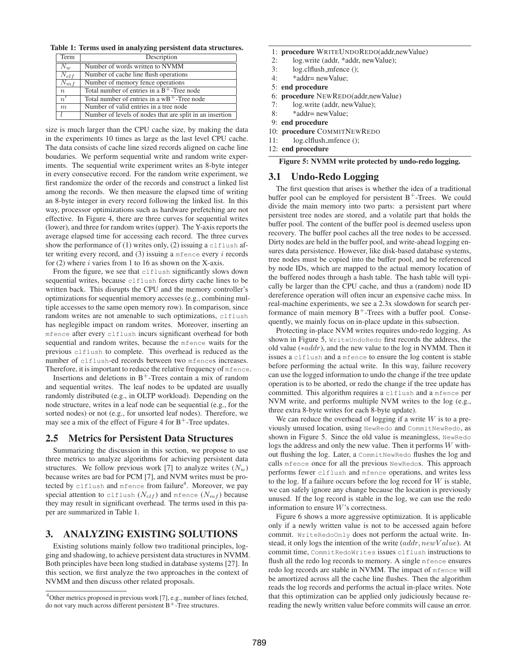**Table 1: Terms used in analyzing persistent data structures.**

| Term             | Description                                              |
|------------------|----------------------------------------------------------|
| $\overline{N}_w$ | Number of words written to NVMM                          |
| $N_{clf}$        | Number of cache line flush operations                    |
| $N_{mf}$         | Number of memory fence operations                        |
| $\boldsymbol{n}$ | Total number of entries in a $B^+$ -Tree node            |
| $\overline{n'}$  | Total number of entries in a $wB^+$ -Tree node           |
| m                | Number of valid entries in a tree node                   |
|                  | Number of levels of nodes that are split in an insertion |

size is much larger than the CPU cache size, by making the data in the experiments 10 times as large as the last level CPU cache. The data consists of cache line sized records aligned on cache line boudaries. We perform sequential write and random write experiments. The sequential write experiment writes an 8-byte integer in every consecutive record. For the random write experiment, we first randomize the order of the records and construct a linked list among the records. We then measure the elapsed time of writing an 8-byte integer in every record following the linked list. In this way, processor optimizations such as hardware prefetching are not effective. In Figure 4, there are three curves for sequential writes (lower), and three for random writes (upper). The Y-axis reports the average elapsed time for accessing each record. The three curves show the performance of (1) writes only, (2) issuing a clflush after writing every record, and  $(3)$  issuing a metric every i records for  $(2)$  where *i* varies from 1 to 16 as shown on the X-axis.

From the figure, we see that clflush significantly slows down sequential writes, because clflush forces dirty cache lines to be written back. This disrupts the CPU and the memory controller's optimizations for sequential memory accesses (e.g., combining multiple accesses to the same open memory row). In comparison, since random writes are not amenable to such optimizations, clflush has neglegible impact on random writes. Moreover, inserting an mfence after every clflush incurs significant overhead for both sequential and random writes, because the mfence waits for the previous clflush to complete. This overhead is reduced as the number of clflush-ed records between two mfences increases. Therefore, it is important to reduce the relative frequency of mfence.

Insertions and deletions in  $B^+$ -Trees contain a mix of random and sequential writes. The leaf nodes to be updated are usually randomly distributed (e.g., in OLTP workload). Depending on the node structure, writes in a leaf node can be sequential (e.g., for the sorted nodes) or not (e.g., for unsorted leaf nodes). Therefore, we may see a mix of the effect of Figure 4 for  $B^+$ -Tree updates.

#### **2.5 Metrics for Persistent Data Structures**

Summarizing the discussion in this section, we propose to use three metrics to analyze algorithms for achieving persistent data structures. We follow previous work [7] to analyze writes  $(N_w)$ because writes are bad for PCM [7], and NVM writes must be protected by clflush and mfence from failure $\sp4$ . Moreover, we pay special attention to clflush  $(N_{clf})$  and mfence  $(N_{mf})$  because they may result in significant overhead. The terms used in this paper are summarized in Table 1.

#### **3. ANALYZING EXISTING SOLUTIONS**

Existing solutions mainly follow two traditional principles, logging and shadowing, to achieve persistent data structures in NVMM. Both principles have been long studied in database systems [27]. In this section, we first analyze the two approaches in the context of NVMM and then discuss other related proposals.

#### 1: **procedure** WRITEUNDOREDO(addr,newValue)

- 2: log.write (addr, \*addr, newValue);
- 3: log.clflush mfence ();
- 4: \*addr= newValue;
- 5: **end procedure**
- 6: **procedure** NEWREDO(addr,newValue)
- 7: log.write (addr, newValue);
- 8: \*addr= newValue;
- 9: **end procedure**
- 10: **procedure** COMMITNEWREDO
- 11: log.clflush mfence ();
- 12: **end procedure**

**Figure 5: NVMM write protected by undo-redo logging.**

#### **3.1 Undo-Redo Logging**

The first question that arises is whether the idea of a traditional buffer pool can be employed for persistent  $B^+$ -Trees. We could divide the main memory into two parts: a persistent part where persistent tree nodes are stored, and a volatile part that holds the buffer pool. The content of the buffer pool is deemed useless upon recovery. The buffer pool caches all the tree nodes to be accessed. Dirty nodes are held in the buffer pool, and write-ahead logging ensures data persistence. However, like disk-based database systems, tree nodes must be copied into the buffer pool, and be referenced by node IDs, which are mapped to the actual memory location of the buffered nodes through a hash table. The hash table will typically be larger than the CPU cache, and thus a (random) node ID dereference operation will often incur an expensive cache miss. In real-machine experiments, we see a 2.3x slowdown for search performance of main memory  $B^+$ -Trees with a buffer pool. Consequently, we mainly focus on in-place update in this subsection.

Protecting in-place NVM writes requires undo-redo logging. As shown in Figure 5, WriteUndoRedo first records the address, the old value (∗addr), and the new value to the log in NVMM. Then it issues a clflush and a mfence to ensure the log content is stable before performing the actual write. In this way, failure recovery can use the logged information to undo the change if the tree update operation is to be aborted, or redo the change if the tree update has committed. This algorithm requires a clflush and a mfence per NVM write, and performs multiple NVM writes to the log (e.g., three extra 8-byte writes for each 8-byte update).

We can reduce the overhead of logging if a write  $W$  is to a previously unused location, using NewRedo and CommitNewRedo, as shown in Figure 5. Since the old value is meaningless, NewRedo logs the address and only the new value. Then it performs W without flushing the log. Later, a CommitNewRedo flushes the log and calls mfence once for all the previous NewRedos. This approach performs fewer clflush and mfence operations, and writes less to the log. If a failure occurs before the log record for  $W$  is stable, we can safely ignore any change because the location is previously unused. If the log record is stable in the log, we can use the redo information to ensure W's correctness.

Figure 6 shows a more aggressive optimization. It is applicable only if a newly written value is not to be accessed again before commit. WriteRedoOnly does not perform the actual write. Instead, it only logs the intention of the write  $(\alpha ddr, newValue)$ . At commit time, CommitRedoWrites issues clflush instructions to flush all the redo log records to memory. A single mfence ensures redo log records are stable in NVMM. The impact of mfence will be amortized across all the cache line flushes. Then the algorithm reads the log records and performs the actual in-place writes. Note that this optimization can be applied only judiciously because rereading the newly written value before commits will cause an error.

 $4$ Other metrics proposed in previous work [7], e.g., number of lines fetched, do not vary much across different persistent  $B^+$ -Tree structures.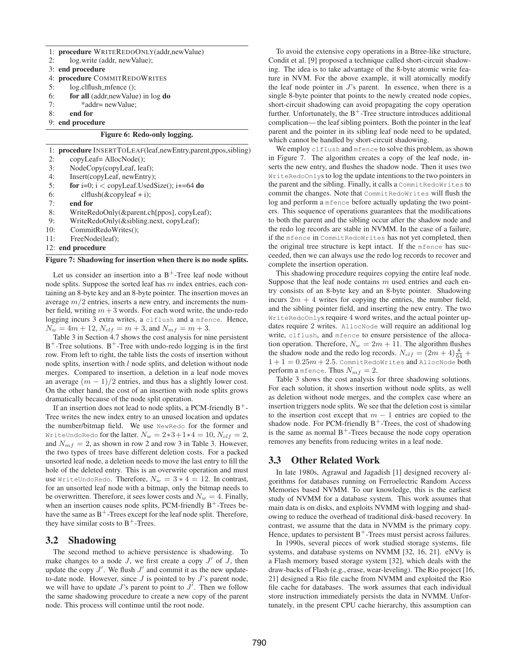|     | 1: <b>procedure</b> WRITEREDOONLY(addr, new Value)                       |
|-----|--------------------------------------------------------------------------|
| 2:  | log.write (addr, newValue);                                              |
|     | 3: end procedure                                                         |
|     | 4: procedure COMMITREDOWRITES                                            |
| 5:  | $log.$ clflush_mfence $()$ ;                                             |
| 6:  | for all (addr, new Value) in log do                                      |
| 7:  | *addr= newValue;                                                         |
| 8:  | end for                                                                  |
|     | 9: end procedure                                                         |
|     | Figure 6: Redo-only logging.                                             |
|     | 1: <b>procedure</b> INSERTTOLEAF(leaf, new Entry, parent, ppos, sibling) |
| 2:  | copyLeaf=AllocNode();                                                    |
| 3:  | NodeCopy(copyLeaf, leaf);                                                |
| 4:  | Insert(copyLeaf, newEntry);                                              |
| 5:  | for i=0; i < copyLeaf.UsedSize(); i+=64 do                               |
| 6:  | $clflush(\& copyleaf + i);$                                              |
| 7:  | end for                                                                  |
| 8:  | WriteRedoOnly(&parent.ch[ppos], copyLeaf);                               |
| 9:  | WriteRedoOnly(&sibling.next, copyLeaf);                                  |
| 10: | CommitRedoWrites():                                                      |

11: FreeNode(leaf);

12: **end procedure**

#### **Figure 7: Shadowing for insertion when there is no node splits.**

Let us consider an insertion into a  $B^+$ -Tree leaf node without node splits. Suppose the sorted leaf has  $m$  index entries, each containing an 8-byte key and an 8-byte pointer. The insertion moves an average  $m/2$  entries, inserts a new entry, and increments the number field, writing  $m + 3$  words. For each word write, the undo-redo logging incurs 3 extra writes, a clflush and a mfence. Hence,  $N_w = 4m + 12$ ,  $N_{clf} = m + 3$ , and  $N_{mf} = m + 3$ .

Table 3 in Section 4.7 shows the cost analysis for nine persistent  $B^+$ -Tree solutions.  $B^+$ -Tree with undo-redo logging is in the first row. From left to right, the table lists the costs of insertion without node splits, insertion with  $l$  node splits, and deletion without node merges. Compared to insertion, a deletion in a leaf node moves an average  $(m - 1)/2$  entries, and thus has a slightly lower cost. On the other hand, the cost of an insertion with node splits grows dramatically because of the node split operation.

If an insertion does not lead to node splits, a PCM-friendly  $B^+$ -Tree writes the new index entry to an unused location and updates the number/bitmap field. We use NewRedo for the former and WriteUndoRedo for the latter.  $N_w = 2*3+1*4 = 10$ ,  $N_{clf} = 2$ , and  $N_{mf} = 2$ , as shown in row 2 and row 3 in Table 3. However, the two types of trees have different deletion costs. For a packed unsorted leaf node, a deletion needs to move the last entry to fill the hole of the deleted entry. This is an overwrite operation and must use WriteUndoRedo. Therefore,  $N_w = 3 * 4 = 12$ . In contrast, for an unsorted leaf node with a bitmap, only the bitmap needs to be overwritten. Therefore, it sees lower costs and  $N_w = 4$ . Finally, when an insertion causes node splits, PCM-friendly  $B^+$ -Trees behave the same as  $B^+$ -Trees except for the leaf node split. Therefore, they have similar costs to  $B^+$ -Trees.

#### **3.2 Shadowing**

The second method to achieve persistence is shadowing. To make changes to a node  $J$ , we first create a copy  $J'$  of  $\tilde{J}$ , then update the copy  $J'$ . We flush  $J'$  and commit it as the new updateto-date node. However, since  $J$  is pointed to by  $J$ 's parent node, we will have to update  $J$ 's parent to point to  $J'$ . Then we follow the same shadowing procedure to create a new copy of the parent node. This process will continue until the root node.

To avoid the extensive copy operations in a Btree-like structure, Condit et al. [9] proposed a technique called short-circuit shadowing. The idea is to take advantage of the 8-byte atomic write feature in NVM. For the above example, it will atomically modify the leaf node pointer in  $J$ 's parent. In essence, when there is a single 8-byte pointer that points to the newly created node copies, short-circuit shadowing can avoid propagating the copy operation further. Unfortunately, the  $B^+$ -Tree structure introduces additional complication— the leaf sibling pointers. Both the pointer in the leaf parent and the pointer in its sibling leaf node need to be updated, which cannot be handled by short-circuit shadowing.

We employ clflush and mfence to solve this problem, as shown in Figure 7. The algorithm creates a copy of the leaf node, inserts the new entry, and flushes the shadow node. Then it uses two WriteRedoOnlys to log the update intentions to the two pointers in the parent and the sibling. Finally, it calls a CommitRedoWrites to commit the changes. Note that CommitRedoWrites will flush the log and perform a mfence before actually updating the two pointers. This sequence of operations guarantees that the modifications to both the parent and the sibling occur after the shadow node and the redo log records are stable in NVMM. In the case of a failure, if the mfence in CommitRedoWrites has not yet completed, then the original tree structure is kept intact. If the mfence has succeeded, then we can always use the redo log records to recover and complete the insertion operation.

This shadowing procedure requires copying the entire leaf node. Suppose that the leaf node contains  $m$  used entries and each entry consists of an 8-byte key and an 8-byte pointer. Shadowing incurs  $2m + 4$  writes for copying the entries, the number field, and the sibling pointer field, and inserting the new entry. The two WriteRedoOnlys require 4 word writes, and the actual pointer updates require 2 writes. AllocNode will require an additional log write, clflush, and mfence to ensure persistence of the allocation operation. Therefore,  $N_w = 2m + 11$ . The algorithm flushes the shadow node and the redo log records.  $N_{clf} = (2m + 4) \frac{8}{64} +$  $1 + 1 = 0.25m + 2.5$ . CommitRedoWrites and AllocNode both perform a mfence. Thus  $N_{mf} = 2$ .

Table 3 shows the cost analysis for three shadowing solutions. For each solution, it shows insertion without node splits, as well as deletion without node merges, and the complex case where an insertion triggers node splits. We see that the deletion cost is similar to the insertion cost except that  $m - 1$  entries are copied to the shadow node. For PCM-friendly  $B^+$ -Trees, the cost of shadowing is the same as normal  $B^+$ -Trees because the node copy operation removes any benefits from reducing writes in a leaf node.

### **3.3 Other Related Work**

In late 1980s, Agrawal and Jagadish [1] designed recovery algorithms for databases running on Ferroelectric Random Access Memories based NVMM. To our knowledge, this is the earliest study of NVMM for a database system. This work assumes that main data is on disks, and exploits NVMM with logging and shadowing to reduce the overhead of traditional disk-based recovery. In contrast, we assume that the data in NVMM is the primary copy. Hence, updates to persistent  $B^+$ -Trees must persist across failures.

In 1990s, several pieces of work studied storage systems, file systems, and database systems on NVMM [32, 16, 21]. eNVy is a Flash memory based storage system [32], which deals with the draw-backs of Flash (e.g., erase, wear-leveling). The Rio project [16, 21] designed a Rio file cache from NVMM and exploited the Rio file cache for databases. The work assumes that each individual store instruction immediately persists the data in NVMM. Unfortunately, in the present CPU cache hierarchy, this assumption can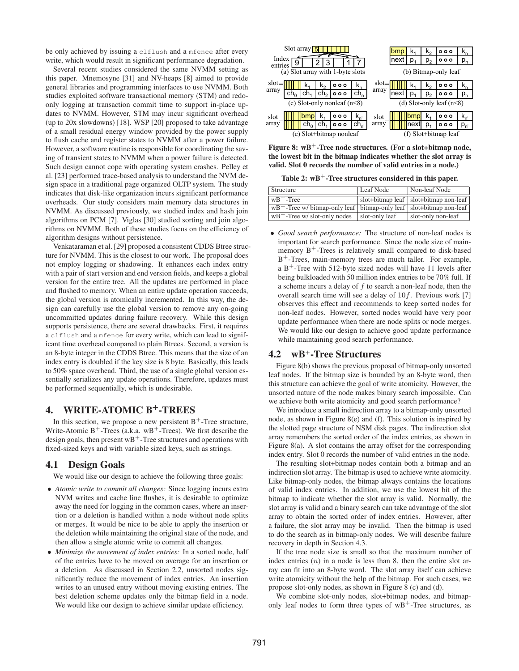be only achieved by issuing a clflush and a mfence after every write, which would result in significant performance degradation.

Several recent studies considered the same NVMM setting as this paper. Mnemosyne [31] and NV-heaps [8] aimed to provide general libraries and programming interfaces to use NVMM. Both studies exploited software transactional memory (STM) and redoonly logging at transaction commit time to support in-place updates to NVMM. However, STM may incur significant overhead (up to 20x slowdowns) [18]. WSP [20] proposed to take advantage of a small residual energy window provided by the power supply to flush cache and register states to NVMM after a power failure. However, a software routine is responsible for coordinating the saving of transient states to NVMM when a power failure is detected. Such design cannot cope with operating system crashes. Pelley et al. [23] performed trace-based analysis to understand the NVM design space in a traditional page organized OLTP system. The study indicates that disk-like organization incurs significant performance overheads. Our study considers main memory data structures in NVMM. As discussed previously, we studied index and hash join algorithms on PCM [7]. Viglas [30] studied sorting and join algorithms on NVMM. Both of these studies focus on the efficiency of algorithm designs without persistence.

Venkataraman et al. [29] proposed a consistent CDDS Btree structure for NVMM. This is the closest to our work. The proposal does not employ logging or shadowing. It enhances each index entry with a pair of start version and end version fields, and keeps a global version for the entire tree. All the updates are performed in place and flushed to memory. When an entire update operation succeeds, the global version is atomically incremented. In this way, the design can carefully use the global version to remove any on-going uncommitted updates during failure recovery. While this design supports persistence, there are several drawbacks. First, it requires a clflush and a mfence for every write, which can lead to significant time overhead compared to plain Btrees. Second, a version is an 8-byte integer in the CDDS Btree. This means that the size of an index entry is doubled if the key size is 8 byte. Basically, this leads to 50% space overhead. Third, the use of a single global version essentially serializes any update operations. Therefore, updates must be performed sequentially, which is undesirable.

## **4. WRITE-ATOMIC B+-TREES**

In this section, we propose a new persistent  $B^+$ -Tree structure, Write-Atomic  $B^+$ -Trees (a.k.a. w $B^+$ -Trees). We first describe the design goals, then present  $wB^+$ -Tree structures and operations with fixed-sized keys and with variable sized keys, such as strings.

#### **4.1 Design Goals**

We would like our design to achieve the following three goals:

- *Atomic write to commit all changes:* Since logging incurs extra NVM writes and cache line flushes, it is desirable to optimize away the need for logging in the common cases, where an insertion or a deletion is handled within a node without node splits or merges. It would be nice to be able to apply the insertion or the deletion while maintaining the original state of the node, and then allow a single atomic write to commit all changes.
- *Minimize the movement of index entries:* In a sorted node, half of the entries have to be moved on average for an insertion or a deletion. As discussed in Section 2.2, unsorted nodes significantly reduce the movement of index entries. An insertion writes to an unused entry without moving existing entries. The best deletion scheme updates only the bitmap field in a node. We would like our design to achieve similar update efficiency.

| Index   | Slot array $\frac{5}{5}$ |      |     |                                  |           |       | nex | D    | ĸ۰<br>p, | 000<br>000                 | p,       |
|---------|--------------------------|------|-----|----------------------------------|-----------|-------|-----|------|----------|----------------------------|----------|
| entries |                          |      |     | (a) Slot array with 1-byte slots |           |       |     |      |          | (b) Bitmap-only leaf       |          |
| slot-   |                          |      | K,  | 000                              | $K_n$     | slot- |     |      | K,       | 000                        |          |
| array   |                          | ch.  | ch, | 000                              | $ch_{n}$  | array | nex | n    | p,       | 000                        |          |
|         |                          |      |     | (c) Slot-only nonleaf $(n<8)$    |           |       |     |      |          | (d) Slot-only leaf $(n<8)$ |          |
| slot    |                          | lbmb | ĸ٠  | 000                              | $K_{n'}$  | slot  |     | bmp  | ĸ٠       | 000                        | $K_{n'}$ |
| array   |                          |      | ch, | 000                              | $ch_{n'}$ | array |     | nexi | p,       | 000                        | $p_{n'}$ |
|         |                          |      |     | (e) Slot+bitmap nonleaf          |           |       |     |      |          | (f) Slot+bitmap leaf       |          |

**Figure 8:**  $wB^+$ -Tree node structures. (For a slot+bitmap node, **the lowest bit in the bitmap indicates whether the slot array is valid. Slot 0 records the number of valid entries in a node.)**

**Table 2: wB**<sup>+</sup>**-Tree structures considered in this paper.**

| Structure                                                                                              | Leaf Node      | Non-leaf Node                           |
|--------------------------------------------------------------------------------------------------------|----------------|-----------------------------------------|
| $\vert$ wB <sup>+</sup> -Tree                                                                          |                | slot+bitmap leaf   slot+bitmap non-leaf |
| $\vert$ wB <sup>+</sup> -Tree w/bitmap-only leaf $\vert$ bitmap-only leaf $\vert$ slot+bitmap non-leaf |                |                                         |
| $wB$ <sup>+</sup> -Tree w/ slot-only nodes                                                             | slot-only leaf | slot-only non-leaf                      |

• *Good search performance:* The structure of non-leaf nodes is important for search performance. Since the node size of mainmemory  $B^+$ -Trees is relatively small compared to disk-based B<sup>+</sup>-Trees, main-memory trees are much taller. For example, a  $B^+$ -Tree with 512-byte sized nodes will have 11 levels after being bulkloaded with 50 million index entries to be 70% full. If a scheme incurs a delay of  $f$  to search a non-leaf node, then the overall search time will see a delay of  $10f$ . Previous work [7] observes this effect and recommends to keep sorted nodes for non-leaf nodes. However, sorted nodes would have very poor update performance when there are node splits or node merges. We would like our design to achieve good update performance while maintaining good search performance.

### **4.2 wB**+**-Tree Structures**

Figure 8(b) shows the previous proposal of bitmap-only unsorted leaf nodes. If the bitmap size is bounded by an 8-byte word, then this structure can achieve the goal of write atomicity. However, the unsorted nature of the node makes binary search impossible. Can we achieve both write atomicity and good search performance?

We introduce a small indirection array to a bitmap-only unsorted node, as shown in Figure 8(e) and (f). This solution is inspired by the slotted page structure of NSM disk pages. The indirection slot array remembers the sorted order of the index entries, as shown in Figure 8(a). A slot contains the array offset for the corresponding index entry. Slot 0 records the number of valid entries in the node.

The resulting slot+bitmap nodes contain both a bitmap and an indirection slot array. The bitmap is used to achieve write atomicity. Like bitmap-only nodes, the bitmap always contains the locations of valid index entries. In addition, we use the lowest bit of the bitmap to indicate whether the slot array is valid. Normally, the slot array is valid and a binary search can take advantage of the slot array to obtain the sorted order of index entries. However, after a failure, the slot array may be invalid. Then the bitmap is used to do the search as in bitmap-only nodes. We will describe failure recovery in depth in Section 4.3.

If the tree node size is small so that the maximum number of index entries  $(n)$  in a node is less than 8, then the entire slot array can fit into an 8-byte word. The slot array itself can achieve write atomicity without the help of the bitmap. For such cases, we propose slot-only nodes, as shown in Figure 8 (c) and (d).

We combine slot-only nodes, slot+bitmap nodes, and bitmaponly leaf nodes to form three types of  $wB^+$ -Tree structures, as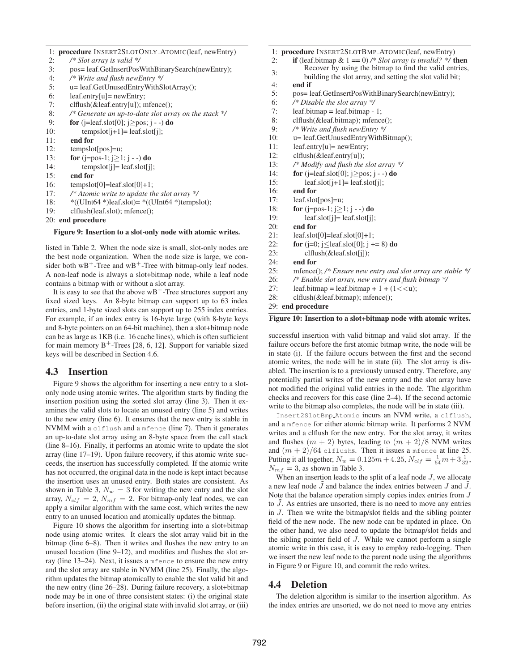|  |  |  |  | 1: procedure INSERT2SLOTONLY_ATOMIC(leaf, newEntry) |  |
|--|--|--|--|-----------------------------------------------------|--|
|--|--|--|--|-----------------------------------------------------|--|

- 2: */\* Slot array is valid \*/* 3: pos= leaf.GetInsertPosWithBinarySearch(newEntry); 4: */\* Write and flush newEntry \*/* 5: u= leaf.GetUnusedEntryWithSlotArray(); 6: leaf.entry[u]= newEntry; 7: clflush(&leaf.entry[u]); mfence(); 8: */\* Generate an up-to-date slot array on the stack \*/* 9: **for** (j=leaf.slot[0]; j≥pos; j - -) **do** 10: tempslot $[i+1]$ = leaf.slot $[i]$ ; 11: **end for** 12: tempslot[pos]=u; 13: **for** (j=pos-1; j≥1; j - -) **do**
- 14: tempslot[j]= leaf.slot[j];
- 15: **end for**
- 16: tempslot $[0]$ =leaf.slot $[0]+1$ ;
- 17: */\* Atomic write to update the slot array \*/*
- 18: \*((UInt64 \*)leaf.slot)= \*((UInt64 \*)tempslot);
- 19: clflush(leaf.slot); mfence();
- 20: **end procedure**

**Figure 9: Insertion to a slot-only node with atomic writes.**

listed in Table 2. When the node size is small, slot-only nodes are the best node organization. When the node size is large, we consider both  $wB^+$ -Tree and  $wB^+$ -Tree with bitmap-only leaf nodes. A non-leaf node is always a slot+bitmap node, while a leaf node contains a bitmap with or without a slot array.

It is easy to see that the above  $wB^+$ -Tree structures support any fixed sized keys. An 8-byte bitmap can support up to 63 index entries, and 1-byte sized slots can support up to 255 index entries. For example, if an index entry is 16-byte large (with 8-byte keys and 8-byte pointers on an 64-bit machine), then a slot+bitmap node can be as large as 1KB (i.e. 16 cache lines), which is often sufficient for main memory  $B^+$ -Trees [28, 6, 12]. Support for variable sized keys will be described in Section 4.6.

### **4.3 Insertion**

Figure 9 shows the algorithm for inserting a new entry to a slotonly node using atomic writes. The algorithm starts by finding the insertion position using the sorted slot array (line 3). Then it examines the valid slots to locate an unused entry (line 5) and writes to the new entry (line 6). It ensures that the new entry is stable in NVMM with a clflush and a mfence (line 7). Then it generates an up-to-date slot array using an 8-byte space from the call stack (line 8–16). Finally, it performs an atomic write to update the slot array (line 17–19). Upon failure recovery, if this atomic write succeeds, the insertion has successfully completed. If the atomic write has not occurred, the original data in the node is kept intact because the insertion uses an unused entry. Both states are consistent. As shown in Table 3,  $N_w = 3$  for writing the new entry and the slot array,  $N_{clf} = 2$ ,  $N_{mf} = 2$ . For bitmap-only leaf nodes, we can apply a similar algorithm with the same cost, which writes the new entry to an unused location and atomically updates the bitmap.

Figure 10 shows the algorithm for inserting into a slot+bitmap node using atomic writes. It clears the slot array valid bit in the bitmap (line 6–8). Then it writes and flushes the new entry to an unused location (line 9–12), and modifies and flushes the slot array (line 13–24). Next, it issues a mfence to ensure the new entry and the slot array are stable in NVMM (line 25). Finally, the algorithm updates the bitmap atomically to enable the slot valid bit and the new entry (line 26–28). During failure recovery, a slot+bitmap node may be in one of three consistent states: (i) the original state before insertion, (ii) the original state with invalid slot array, or (iii) 1: **procedure** INSERT2SLOTBMP ATOMIC(leaf, newEntry)

- 2: **if** (leaf.bitmap & 1 == 0) */\* Slot array is invalid? \*/* **then**
- 3: Recover by using the bitmap to find the valid entries,
	- building the slot array, and setting the slot valid bit;
- 4: **end if**
- 5: pos= leaf.GetInsertPosWithBinarySearch(newEntry);
- 6: */\* Disable the slot array \*/*
- 7: leaf.bitmap = leaf.bitmap 1;
- 8: clflush(&leaf.bitmap); mfence();
- 9: */\* Write and flush newEntry \*/*
- 10: u= leaf.GetUnusedEntryWithBitmap();
- 11: leaf.entry[u]= newEntry;
- 12: clflush(&leaf.entry[u]);
- 13: */\* Modify and flush the slot array \*/*
- 14: **for** (j=leaf.slot[0]; j≥pos; j -) **do**
- 15: leaf.slot $[j+1]$ = leaf.slot $[j]$ ;
- 16: **end for**
- 17: leaf.slot[pos]=u;
- 18: **for** (j=pos-1; j≥1; j -) **do**
- 19: leaf.slot[j]= leaf.slot[j];
- 20: **end for**
- $21:$  leaf.slot[0]=leaf.slot[0]+1;
- 22: **for** ( $j=0$ ;  $j<$  leaf.slot[0];  $j = 8$ ) **do**
- 23: clflush(&leaf.slot[j]);
- 24: **end for**
- 25: mfence(); */\* Ensure new entry and slot array are stable \*/*
- 26: */\* Enable slot array, new entry and flush bitmap \*/*
- 27: leaf.bitmap = leaf.bitmap + 1 +  $(1 < < u)$ ;
- 28: clflush(&leaf.bitmap); mfence();

29: **end procedure**

#### **Figure 10: Insertion to a slot+bitmap node with atomic writes.**

successful insertion with valid bitmap and valid slot array. If the failure occurs before the first atomic bitmap write, the node will be in state (i). If the failure occurs between the first and the second atomic writes, the node will be in state (ii). The slot array is disabled. The insertion is to a previously unused entry. Therefore, any potentially partial writes of the new entry and the slot array have not modified the original valid entries in the node. The algorithm checks and recovers for this case (line 2–4). If the second actomic write to the bitmap also completes, the node will be in state (iii).

Insert2SlotBmp Atomic incurs an NVM write, a clflush, and a mfence for either atomic bitmap write. It performs 2 NVM writes and a clflush for the new entry. For the slot array, it writes and flushes  $(m + 2)$  bytes, leading to  $(m + 2)/8$  NVM writes and  $(m + 2)/64$  clflushs. Then it issues a mfence at line 25. Putting it all together,  $N_w = 0.125m + 4.25$ ,  $N_{clf} = \frac{1}{64}m + 3\frac{1}{32}$ ,  $N_{mf} = 3$ , as shown in Table 3.

When an insertion leads to the split of a leaf node  $J$ , we allocate a new leaf node  $\bar{J}$  and balance the index entries between  $J$  and  $\bar{J}$ . Note that the balance operation simply copies index entries from J to  $\tilde{J}$ . As entries are unsorted, there is no need to move any entries in J. Then we write the bitmap/slot fields and the sibling pointer field of the new node. The new node can be updated in place. On the other hand, we also need to update the bitmap/slot fields and the sibling pointer field of J. While we cannot perform a single atomic write in this case, it is easy to employ redo-logging. Then we insert the new leaf node to the parent node using the algorithms in Figure 9 or Figure 10, and commit the redo writes.

### **4.4 Deletion**

The deletion algorithm is similar to the insertion algorithm. As the index entries are unsorted, we do not need to move any entries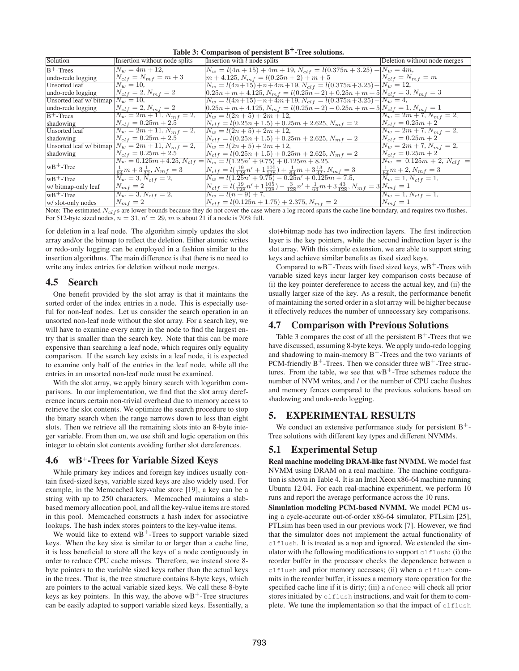| Solution                              | Insertion without node splits                            | Insertion with $l$ node splits                                                                                                                     | Deletion without node merges       |
|---------------------------------------|----------------------------------------------------------|----------------------------------------------------------------------------------------------------------------------------------------------------|------------------------------------|
| $B+$ -Trees                           | $N_w = 4m + 12$ ,                                        | $N_w = l(4n + 15) + 4m + 19, N_{clf} = l(0.375n + 3.25) + N_w = 4m,$                                                                               |                                    |
| undo-redo logging                     | $N_{clf} = N_{mf} = m + 3$                               | $m + 4.125$ , $N_{mf} = l(0.25n + 2) + m + 5$ $N_{clf} = N_{mf} = m$                                                                               |                                    |
| <b>Unsorted</b> leaf                  | $N_w = 10$ ,                                             | $N_w = l(4n+15) + n + 4m + 19, N_{clf} = l(0.375n + 3.25) + N_w = 12,$                                                                             |                                    |
| undo-redo logging                     | $N_{clf} = 2, N_{mf} = 2$                                | $\left[0.25n + m + 4.125, N_{mf} = l(0.25n + 2) + 0.25n + m + 5\right]N_{clf} = 3, N_{mf} = 3$                                                     |                                    |
| Unsorted leaf w/ bitmap $ N_w = 10$ , |                                                          | $N_w = l(4n+15) - n + 4m + 19, N_{clf} = l(0.375n+3.25) - N_w = 4,$                                                                                |                                    |
| undo-redo logging                     | $N_{clf} = 2, N_{mf} = 2$                                | $0.25n + m + 4.125$ , $N_{mf} = l(0.25n + 2) - 0.25n + m + 5N_{clf} = 1$ , $N_{mf} = 1$                                                            |                                    |
| $B^+$ -Trees                          | $N_w = 2m + 11, N_{mf} = 2,$                             | $N_w = l(2n + 5) + 2m + 12,$                                                                                                                       | $N_w = 2m + 7, N_{m,f} = 2,$       |
| shadowing                             | $N_{clf} = 0.25m + 2.5$                                  | $N_{clf} = l(0.25n + 1.5) + 0.25m + 2.625, N_{mf} = 2$                                                                                             | $N_{clf} = 0.25m + 2$              |
| Unsorted leaf                         | $N_w = 2m + 11, N_{mf} = 2,$                             | $N_w = l(2n + 5) + 2m + 12,$                                                                                                                       | $N_w = 2m + 7, N_{m} = 2,$         |
| shadowing                             | $N_{clf} = 0.25m + 2.5$                                  | $N_{clf} = l(0.25n + 1.5) + 0.25m + 2.625, N_{mf} = 2$                                                                                             | $N_{clf} = 0.25m + 2$              |
|                                       | Unsorted leaf w/ bitmap $N_w = 2m + 11$ , $N_{mf} = 2$ , | $N_w = l(2n + 5) + 2m + 12,$                                                                                                                       | $N_w = 2m + 7, N_{m} = 2,$         |
| shadowing                             | $N_{clf} = 0.25m + 2.5$                                  | $N_{clf} = l(0.25n + 1.5) + 0.25m + 2.625, N_{mf} = 2$                                                                                             | $N_{clf} = 0.25m + 2$              |
|                                       |                                                          | $N_w = 0.125m + 4.25$ , $N_{clf} =  N_w = l(1.25n' + 9.75) + 0.125m + 8.25$ ,                                                                      | $N_w = 0.125m + 2, N_{clf} =$      |
| $wB+$ -Tree                           | $\frac{1}{64}m+3\frac{1}{32}$ , $N_{mf}=3$               | $N_{clf} = l(\frac{19}{128}n' + 1\frac{105}{128}) + \frac{1}{64}m + 3\frac{13}{32}$ , $N_{mf} = 3$                                                 | $\frac{1}{64}m + 2$ , $N_{mf} = 3$ |
| $ wB+$ -Tree                          | $N_w = 3, N_{clf} = 2,$                                  | $N_w = l(1.25n' + 9.75) - 0.25n' + 0.125m + 7.5,$                                                                                                  | $N_w = 1, N_{clf} = 1,$            |
| w/ bitmap-only leaf                   | $N_{mf} = 2$                                             | $N_{clf} = \frac{l(\frac{19}{128}n' + 1\frac{105}{128}) - \frac{3}{128}n' + \frac{1}{64}m + 3\frac{43}{128}$ , $N_{mf} = 3\left N_{mf} = 1\right $ |                                    |
| $wB+$ -Tree                           | $N_w = 3, N_{clf} = 2,$                                  | $N_w = l(n+9) + 7,$                                                                                                                                | $\overline{N_w} = 1, N_{clf} = 1,$ |
| w/ slot-only nodes                    | $N_{mf} = 2$                                             | $N_{clf} = l(0.125n + 1.75) + 2.375, N_{mf} = 2$                                                                                                   | $ N_{mf} =1$                       |

**Table 3: Comparison of persistent B+-Tree solutions.**

Note: The estimated  $N_{\text{cl}}$  s are lower bounds because they do not cover the case where a log record spans the cache line boundary, and requires two flushes. For 512-byte sized nodes,  $n = 31$ ,  $n' = 29$ , m is about 21 if a node is 70% full.

for deletion in a leaf node. The algorithm simply updates the slot array and/or the bitmap to reflect the deletion. Either atomic writes or redo-only logging can be employed in a fashion similar to the insertion algorithms. The main difference is that there is no need to write any index entries for deletion without node merges.

### **4.5 Search**

One benefit provided by the slot array is that it maintains the sorted order of the index entries in a node. This is especially useful for non-leaf nodes. Let us consider the search operation in an unsorted non-leaf node without the slot array. For a search key, we will have to examine every entry in the node to find the largest entry that is smaller than the search key. Note that this can be more expensive than searching a leaf node, which requires only equality comparison. If the search key exists in a leaf node, it is expected to examine only half of the entries in the leaf node, while all the entries in an unsorted non-leaf node must be examined.

With the slot array, we apply binary search with logarithm comparisons. In our implementation, we find that the slot array dereference incurs certain non-trivial overhead due to memory access to retrieve the slot contents. We optimize the search procedure to stop the binary search when the range narrows down to less than eight slots. Then we retrieve all the remaining slots into an 8-byte integer variable. From then on, we use shift and logic operation on this integer to obtain slot contents avoiding further slot dereferences.

# **4.6 wB**+**-Trees for Variable Sized Keys**

While primary key indices and foreign key indices usually contain fixed-sized keys, variable sized keys are also widely used. For example, in the Memcached key-value store [19], a key can be a string with up to 250 characters. Memcached maintains a slabbased memory allocation pool, and all the key-value items are stored in this pool. Memcached constructs a hash index for associative lookups. The hash index stores pointers to the key-value items.

We would like to extend  $wB^+$ -Trees to support variable sized keys. When the key size is similar to or larger than a cache line, it is less beneficial to store all the keys of a node contiguously in order to reduce CPU cache misses. Therefore, we instead store 8 byte pointers to the variable sized keys rather than the actual keys in the trees. That is, the tree structure contains 8-byte keys, which are pointers to the actual variable sized keys. We call these 8-byte keys as key pointers. In this way, the above  $wB^+$ -Tree structures can be easily adapted to support variable sized keys. Essentially, a slot+bitmap node has two indirection layers. The first indirection layer is the key pointers, while the second indirection layer is the slot array. With this simple extension, we are able to support string keys and achieve similar benefits as fixed sized keys.

Compared to  $wB^+$ -Trees with fixed sized keys,  $wB^+$ -Trees with variable sized keys incur larger key comparison costs because of (i) the key pointer dereference to access the actual key, and (ii) the usually larger size of the key. As a result, the performance benefit of maintaining the sorted order in a slot array will be higher because it effectively reduces the number of unnecessary key comparisons.

### **4.7 Comparison with Previous Solutions**

Table 3 compares the cost of all the persistent  $B^+$ -Trees that we have discussed, assuming 8-byte keys. We apply undo-redo logging and shadowing to main-memory  $B^+$ -Trees and the two variants of PCM-friendly  $B^+$ -Trees. Then we consider three w $B^+$ -Tree structures. From the table, we see that  $wB^+$ -Tree schemes reduce the number of NVM writes, and / or the number of CPU cache flushes and memory fences compared to the previous solutions based on shadowing and undo-redo logging.

# **5. EXPERIMENTAL RESULTS**

We conduct an extensive performance study for persistent  $B^+$ -Tree solutions with different key types and different NVMMs.

# **5.1 Experimental Setup**

**Real machine modeling DRAM-like fast NVMM.** We model fast NVMM using DRAM on a real machine. The machine configuration is shown in Table 4. It is an Intel Xeon x86-64 machine running Ubuntu 12.04. For each real-machine experiment, we perform 10 runs and report the average performance across the 10 runs.

**Simulation modeling PCM-based NVMM.** We model PCM using a cycle-accurate out-of-order x86-64 simulator, PTLsim [25], PTLsim has been used in our previous work [7]. However, we find that the simulator does not implement the actual functionality of clflush. It is treated as a nop and ignored. We extended the simulator with the following modifications to support clflush: (i) the reorder buffer in the processor checks the dependence between a clflush and prior memory accesses; (ii) when a clflush commits in the reorder buffer, it issues a memory store operation for the specified cache line if it is dirty; (iii) a mfence will check all prior stores initiated by clflush instructions, and wait for them to complete. We tune the implementation so that the impact of clflush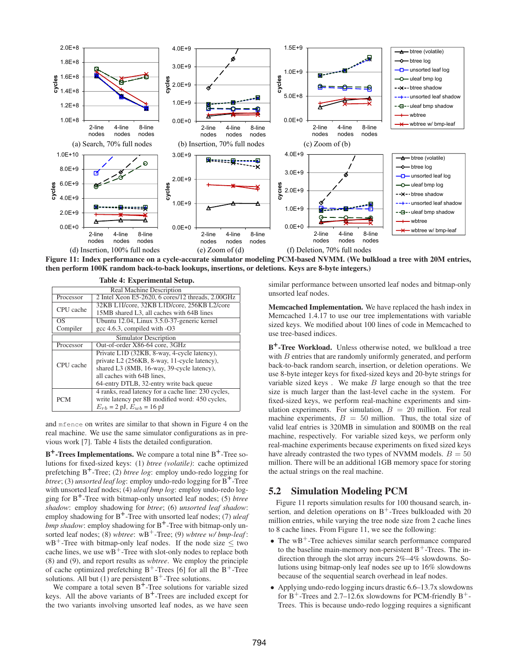

**Figure 11: Index performance on a cycle-accurate simulator modeling PCM-based NVMM. (We bulkload a tree with 20M entries, then perform 100K random back-to-back lookups, insertions, or deletions. Keys are 8-byte integers.)**

| Table 4: Experimental Setup.                                   |                                                     |  |  |  |  |
|----------------------------------------------------------------|-----------------------------------------------------|--|--|--|--|
| Real Machine Description                                       |                                                     |  |  |  |  |
| 2 Intel Xeon E5-2620, 6 cores/12 threads, 2.00GHz<br>Processor |                                                     |  |  |  |  |
| CPU cache                                                      | 32KB L1I/core, 32KB L1D/core, 256KB L2/core         |  |  |  |  |
|                                                                | 15MB shared L3, all caches with 64B lines           |  |  |  |  |
| OS                                                             | Ubuntu 12.04, Linux 3.5.0-37-generic kernel         |  |  |  |  |
| gcc 4.6.3, compiled with -O3<br>Compiler                       |                                                     |  |  |  |  |
|                                                                | Simulator Description                               |  |  |  |  |
| Processor                                                      | Out-of-order X86-64 core, 3GHz                      |  |  |  |  |
|                                                                | Private L1D (32KB, 8-way, 4-cycle latency),         |  |  |  |  |
| CPU cache                                                      | private L2 (256KB, 8-way, 11-cycle latency),        |  |  |  |  |
|                                                                | shared L3 (8MB, 16-way, 39-cycle latency),          |  |  |  |  |
|                                                                | all caches with 64B lines,                          |  |  |  |  |
| 64-entry DTLB, 32-entry write back queue                       |                                                     |  |  |  |  |
|                                                                | 4 ranks, read latency for a cache line: 230 cycles, |  |  |  |  |
| <b>PCM</b>                                                     | write latency per 8B modified word: 450 cycles,     |  |  |  |  |
|                                                                | $E_{rb} = 2 \text{ pJ}, E_{wb} = 16 \text{ pJ}$     |  |  |  |  |

and mfence on writes are similar to that shown in Figure 4 on the real machine. We use the same simulator configurations as in previous work [7]. Table 4 lists the detailed configuration.

**B<sup>+</sup>-Trees Implementations.** We compare a total nine B<sup>+</sup>-Tree solutions for fixed-sized keys: (1) *btree (volatile)*: cache optimized prefetching B+ -Tree; (2) *btree log*: employ undo-redo logging for *btree*; (3) *unsorted leaf log*: employ undo-redo logging for B<sup>+</sup>-Tree with unsorted leaf nodes; (4) *uleaf bmp log*: employ undo-redo logging for B+ -Tree with bitmap-only unsorted leaf nodes; (5) *btree shadow*: employ shadowing for *btree*; (6) *unsorted leaf shadow*: employ shadowing for B<sup>+</sup>-Tree with unsorted leaf nodes; (7) *uleaf bmp shadow*: employ shadowing for B+ -Tree with bitmap-only unsorted leaf nodes; (8) *wbtree*:  $wB^+$ -Tree; (9) *wbtree w/ bmp-leaf*:  $wB^+$ -Tree with bitmap-only leaf nodes. If the node size  $\leq$  two cache lines, we use  $wB^+$ -Tree with slot-only nodes to replace both (8) and (9), and report results as *wbtree*. We employ the principle of cache optimized prefetching  $B^+$ -Trees [6] for all the  $B^+$ -Tree solutions. All but  $(1)$  are persistent B<sup>+</sup>-Tree solutions.

We compare a total seven  $B^+$ -Tree solutions for variable sized keys. All the above variants of  $B^+$ -Trees are included except for the two variants involving unsorted leaf nodes, as we have seen similar performance between unsorted leaf nodes and bitmap-only unsorted leaf nodes.

**Memcached Implementation.** We have replaced the hash index in Memcached 1.4.17 to use our tree implementations with variable sized keys. We modified about 100 lines of code in Memcached to use tree-based indices.

**B +-Tree Workload.** Unless otherwise noted, we bulkload a tree with *B* entries that are randomly uniformly generated, and perform back-to-back random search, insertion, or deletion operations. We use 8-byte integer keys for fixed-sized keys and 20-byte strings for variable sized keys . We make  $B$  large enough so that the tree size is much larger than the last-level cache in the system. For fixed-sized keys, we perform real-machine experiments and simulation experiments. For simulation,  $B = 20$  million. For real machine experiments,  $B = 50$  million. Thus, the total size of valid leaf entries is 320MB in simulation and 800MB on the real machine, respectively. For variable sized keys, we perform only real-machine experiments because experiments on fixed sized keys have already contrasted the two types of NVMM models.  $B = 50$ million. There will be an additional 1GB memory space for storing the actual strings on the real machine.

# **5.2 Simulation Modeling PCM**

Figure 11 reports simulation results for 100 thousand search, insertion, and deletion operations on  $B^+$ -Trees bulkloaded with 20 million entries, while varying the tree node size from 2 cache lines to 8 cache lines. From Figure 11, we see the following:

- The wB<sup>+</sup>-Tree achieves similar search performance compared to the baseline main-memory non-persistent  $B^+$ -Trees. The indirection through the slot array incurs 2%–4% slowdowns. Solutions using bitmap-only leaf nodes see up to 16% slowdowns because of the sequential search overhead in leaf nodes.
- Applying undo-redo logging incurs drastic 6.6–13.7x slowdowns for  $B^+$ -Trees and 2.7–12.6x slowdowns for PCM-friendly  $B^+$ -Trees. This is because undo-redo logging requires a significant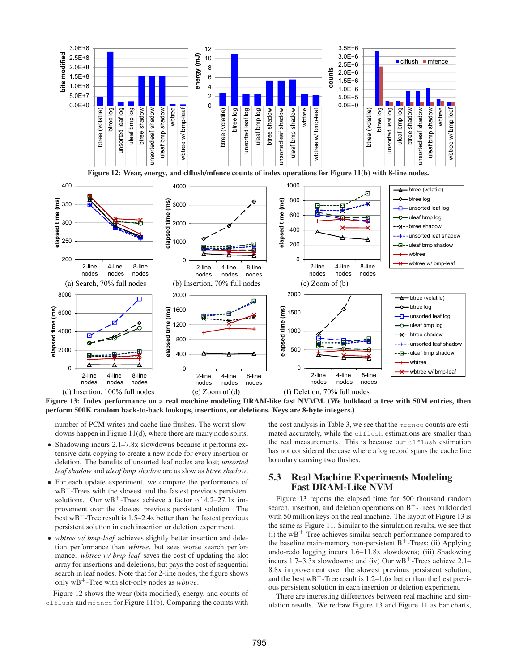

**Figure 13: Index performance on a real machine modeling DRAM-like fast NVMM. (We bulkload a tree with 50M entries, then perform 500K random back-to-back lookups, insertions, or deletions. Keys are 8-byte integers.)**

number of PCM writes and cache line flushes. The worst slowdowns happen in Figure 11(d), where there are many node splits.

- Shadowing incurs 2.1–7.8x slowdowns because it performs extensive data copying to create a new node for every insertion or deletion. The benefits of unsorted leaf nodes are lost; *unsorted leaf shadow* and *uleaf bmp shadow* are as slow as *btree shadow*.
- For each update experiment, we compare the performance of  $wB<sup>+</sup>$ -Trees with the slowest and the fastest previous persistent solutions. Our  $wB^+$ -Trees achieve a factor of 4.2–27.1x improvement over the slowest previous persistent solution. The best  $wB^+$ -Tree result is 1.5–2.4x better than the fastest previous persistent solution in each insertion or deletion experiment.
- *wbtree w/ bmp-leaf* achieves slightly better insertion and deletion performance than *wbtree*, but sees worse search performance. *wbtree w/ bmp-leaf* saves the cost of updating the slot array for insertions and deletions, but pays the cost of sequential search in leaf nodes. Note that for 2-line nodes, the figure shows only wB<sup>+</sup>-Tree with slot-only nodes as *wbtree*.

Figure 12 shows the wear (bits modified), energy, and counts of clflush and mfence for Figure 11(b). Comparing the counts with the cost analysis in Table 3, we see that the mfence counts are estimated accurately, while the clflush estimations are smaller than the real measurements. This is because our clflush estimation has not considered the case where a log record spans the cache line boundary causing two flushes.

### **5.3 Real Machine Experiments Modeling Fast DRAM-Like NVM**

Figure 13 reports the elapsed time for 500 thousand random search, insertion, and deletion operations on  $B^+$ -Trees bulkloaded with 50 million keys on the real machine. The layout of Figure 13 is the same as Figure 11. Similar to the simulation results, we see that (i) the  $wB^+$ -Tree achieves similar search performance compared to the baseline main-memory non-persistent  $B^+$ -Trees; (ii) Applying undo-redo logging incurs 1.6–11.8x slowdowns; (iii) Shadowing incurs 1.7–3.3x slowdowns; and (iv) Our  $WB^+$ -Trees achieve 2.1– 8.8x improvement over the slowest previous persistent solution, and the best  $wB^+$ -Tree result is 1.2–1.6x better than the best previous persistent solution in each insertion or deletion experiment.

There are interesting differences between real machine and simulation results. We redraw Figure 13 and Figure 11 as bar charts,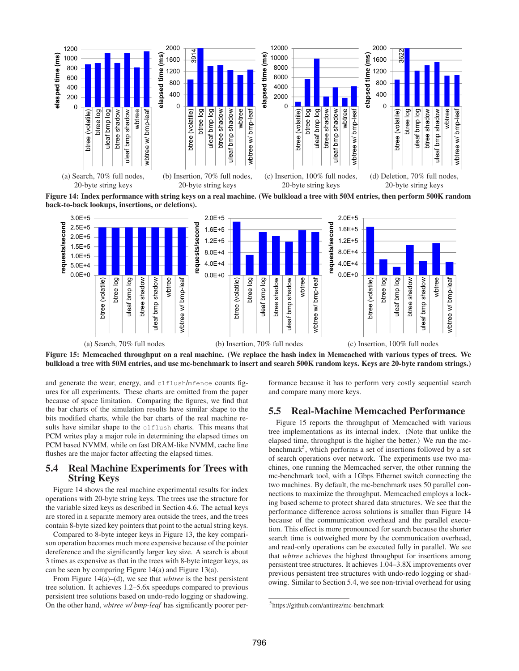

**Figure 14: Index performance with string keys on a real machine. (We bulkload a tree with 50M entries, then perform 500K random back-to-back lookups, insertions, or deletions).**



**Figure 15: Memcached throughput on a real machine. (We replace the hash index in Memcached with various types of trees. We bulkload a tree with 50M entries, and use mc-benchmark to insert and search 500K random keys. Keys are 20-byte random strings.)**

and generate the wear, energy, and clflush/mfence counts figures for all experiments. These charts are omitted from the paper because of space limitation. Comparing the figures, we find that the bar charts of the simulation results have similar shape to the bits modified charts, while the bar charts of the real machine results have similar shape to the clflush charts. This means that PCM writes play a major role in determining the elapsed times on PCM based NVMM, while on fast DRAM-like NVMM, cache line flushes are the major factor affecting the elapsed times.

### **5.4 Real Machine Experiments for Trees with String Keys**

Figure 14 shows the real machine experimental results for index operations with 20-byte string keys. The trees use the structure for the variable sized keys as described in Section 4.6. The actual keys are stored in a separate memory area outside the trees, and the trees contain 8-byte sized key pointers that point to the actual string keys.

Compared to 8-byte integer keys in Figure 13, the key comparison operation becomes much more expensive because of the pointer dereference and the significantly larger key size. A search is about 3 times as expensive as that in the trees with 8-byte integer keys, as can be seen by comparing Figure 14(a) and Figure 13(a).

From Figure 14(a)–(d), we see that *wbtree* is the best persistent tree solution. It achieves 1.2–5.6x speedups compared to previous persistent tree solutions based on undo-redo logging or shadowing. On the other hand, *wbtree w/ bmp-leaf* has significantly poorer performance because it has to perform very costly sequential search and compare many more keys.

### **5.5 Real-Machine Memcached Performance**

Figure 15 reports the throughput of Memcached with various tree implementations as its internal index. (Note that unlike the elapsed time, throughput is the higher the better.) We run the mcbenchmark<sup>5</sup>, which performs a set of insertions followed by a set of search operations over network. The experiments use two machines, one running the Memcached server, the other running the mc-benchmark tool, with a 1Gbps Ethernet switch connecting the two machines. By default, the mc-benchmark uses 50 parallel connections to maximize the throughput. Memcached employs a locking based scheme to protect shared data structures. We see that the performance difference across solutions is smaller than Figure 14 because of the communication overhead and the parallel execution. This effect is more pronounced for search because the shorter search time is outweighed more by the communication overhead, and read-only operations can be executed fully in parallel. We see that *wbtree* achieves the highest throughput for insertions among persistent tree structures. It achieves 1.04–3.8X improvements over previous persistent tree structures with undo-redo logging or shadowing. Similar to Section 5.4, we see non-trivial overhead for using

<sup>5</sup> https://github.com/antirez/mc-benchmark